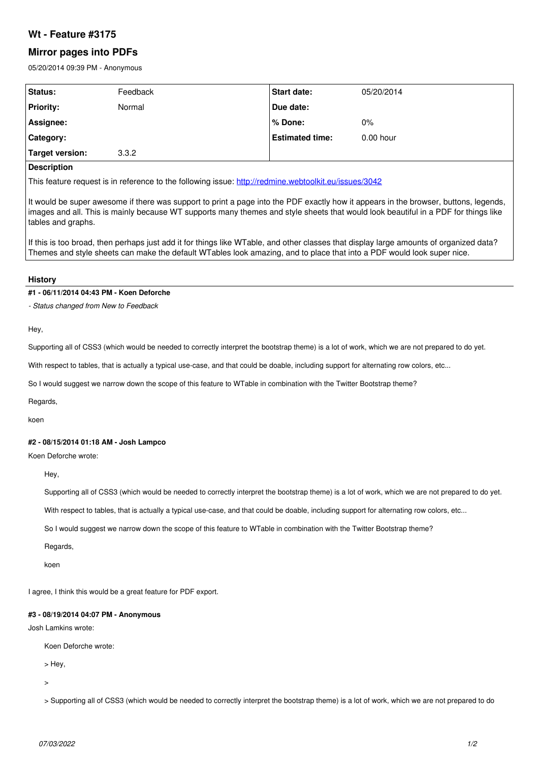# **Wt - Feature #3175**

# **Mirror pages into PDFs**

05/20/2014 09:39 PM - Anonymous

| <b>Status:</b>   | Feedback | <b>Start date:</b>     | 05/20/2014  |
|------------------|----------|------------------------|-------------|
| <b>Priority:</b> | Normal   | Due date:              |             |
| Assignee:        |          | l% Done:               | $0\%$       |
| Category:        |          | <b>Estimated time:</b> | $0.00$ hour |
| Target version:  | 3.3.2    |                        |             |

## **Description**

This feature request is in reference to the following issue:<http://redmine.webtoolkit.eu/issues/3042>

It would be super awesome if there was support to print a page into the PDF exactly how it appears in the browser, buttons, legends, images and all. This is mainly because WT supports many themes and style sheets that would look beautiful in a PDF for things like tables and graphs.

If this is too broad, then perhaps just add it for things like WTable, and other classes that display large amounts of organized data? Themes and style sheets can make the default WTables look amazing, and to place that into a PDF would look super nice.

#### **History**

#### **#1 - 06/11/2014 04:43 PM - Koen Deforche**

*- Status changed from New to Feedback*

Hey,

Supporting all of CSS3 (which would be needed to correctly interpret the bootstrap theme) is a lot of work, which we are not prepared to do yet.

With respect to tables, that is actually a typical use-case, and that could be doable, including support for alternating row colors, etc...

So I would suggest we narrow down the scope of this feature to WTable in combination with the Twitter Bootstrap theme?

Regards,

koen

### **#2 - 08/15/2014 01:18 AM - Josh Lampco**

Koen Deforche wrote:

Hey,

Supporting all of CSS3 (which would be needed to correctly interpret the bootstrap theme) is a lot of work, which we are not prepared to do yet.

With respect to tables, that is actually a typical use-case, and that could be doable, including support for alternating row colors, etc...

So I would suggest we narrow down the scope of this feature to WTable in combination with the Twitter Bootstrap theme?

Regards,

koen

I agree, I think this would be a great feature for PDF export.

#### **#3 - 08/19/2014 04:07 PM - Anonymous**

Josh Lamkins wrote:

Koen Deforche wrote:

> Hey,

 $\rightarrow$ 

> Supporting all of CSS3 (which would be needed to correctly interpret the bootstrap theme) is a lot of work, which we are not prepared to do